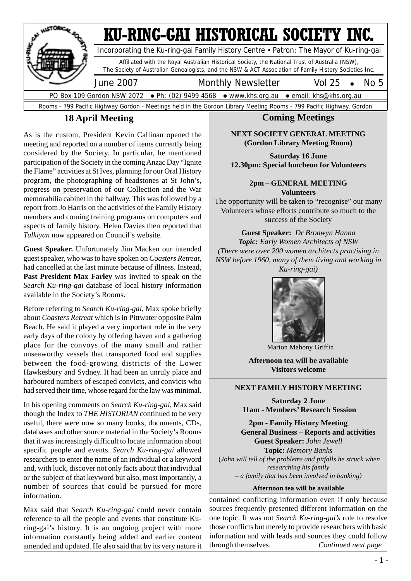

#### **18 April Meeting**

As is the custom, President Kevin Callinan opened the meeting and reported on a number of items currently being considered by the Society. In particular, he mentioned participation of the Society in the coming Anzac Day "Ignite the Flame" activities at St Ives, planning for our Oral History program, the photographing of headstones at St John's, progress on preservation of our Collection and the War memorabilia cabinet in the hallway. This was followed by a report from Jo Harris on the activities of the Family History members and coming training programs on computers and aspects of family history. Helen Davies then reported that *Tulkiyan* now appeared on Council's website.

**Guest Speaker.** Unfortunately Jim Macken our intended guest speaker, who was to have spoken on *Coasters Retreat*, had cancelled at the last minute because of illness. Instead, **Past President Max Farley** was invited to speak on the *Search Ku-ring-gai* database of local history information available in the Society's Rooms.

Before referring to *Search Ku-ring-gai*, Max spoke briefly about *Coasters Retreat* which is in Pittwater opposite Palm Beach. He said it played a very important role in the very early days of the colony by offering haven and a gathering place for the convoys of the many small and rather unseaworthy vessels that transported food and supplies between the food-growing districts of the Lower Hawkesbury and Sydney. It had been an unruly place and harboured numbers of escaped convicts, and convicts who had served their time, whose regard for the law was minimal.

In his opening comments on *Search Ku-ring-gai*, Max said though the Index to *THE HISTORIAN* continued to be very useful, there were now so many books, documents, CDs, databases and other source material in the Society's Rooms that it was increasingly difficult to locate information about specific people and events. *Search Ku-ring-gai* allowed researchers to enter the name of an individual or a keyword and, with luck, discover not only facts about that individual or the subject of that keyword but also, most importantly, a number of sources that could be pursued for more information.

Max said that *Search Ku-ring-gai* could never contain reference to all the people and events that constitute Kuring-gai's history. It is an ongoing project with more information constantly being added and earlier content amended and updated. He also said that by its very nature it

#### **Coming Meetings**

#### **NEXT SOCIETY GENERAL MEETING (Gordon Library Meeting Room)**

**Saturday 16 June 12.30pm: Special luncheon for Volunteers**

> **2pm – GENERAL MEETING Volunteers**

The opportunity will be taken to "recognise" our many Volunteers whose efforts contribute so much to the success of the Society

**Guest Speaker:** *Dr Bronwyn Hanna Topic: Early Women Architects of NSW (There were over 200 women architects practising in NSW before 1960, many of them living and working in Ku-ring-gai)*



Marion Mahony Griffin

**Afternoon tea will be available Visitors welcome**

#### **NEXT FAMILY HISTORY MEETING**

**Saturday 2 June 11am - Members' Research Session**

**2pm - Family History Meeting General Business – Reports and activities Guest Speaker:** *John Jewell* **Topic:** *Memory Banks* (*John will tell of the problems and pitfalls he struck when researching his family – a family that has been involved in banking)*

#### **Afternoon tea will be available**

contained conflicting information even if only because sources frequently presented different information on the one topic. It was not *Search Ku-ring-gai's* role to resolve those conflicts but merely to provide researchers with basic information and with leads and sources they could follow through themselves. *Continued next page*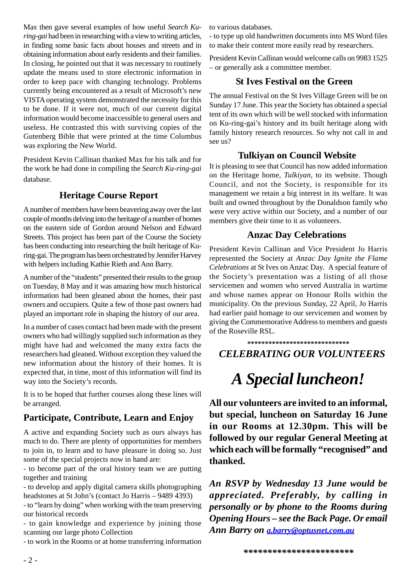Max then gave several examples of how useful *Search Kuring-gai* had been in researching with a view to writing articles, in finding some basic facts about houses and streets and in obtaining information about early residents and their families. In closing, he pointed out that it was necessary to routinely update the means used to store electronic information in order to keep pace with changing technology. Problems currently being encountered as a result of Microsoft's new VISTA operating system demonstrated the necessity for this to be done. If it were not, much of our current digital information would become inaccessible to general users and useless. He contrasted this with surviving copies of the Gutenberg Bible that were printed at the time Columbus was exploring the New World.

President Kevin Callinan thanked Max for his talk and for the work he had done in compiling the *Search Ku-ring-gai* database.

#### **Heritage Course Report**

A number of members have been beavering away over the last couple of months delving into the heritage of a number of homes on the eastern side of Gordon around Nelson and Edward Streets. This project has been part of the Course the Society has been conducting into researching the built heritage of Kuring-gai. The program has been orchestrated by Jennifer Harvey with helpers including Kathie Rieth and Ann Barry.

A number of the "students" presented their results to the group on Tuesday, 8 May and it was amazing how much historical information had been gleaned about the homes, their past owners and occupiers. Quite a few of those past owners had played an important role in shaping the history of our area.

In a number of cases contact had been made with the present owners who had willingly supplied such information as they might have had and welcomed the many extra facts the researchers had gleaned. Without exception they valued the new information about the history of their homes. It is expected that, in time, most of this information will find its way into the Society's records.

It is to be hoped that further courses along these lines will be arranged.

#### **Participate, Contribute, Learn and Enjoy**

A active and expanding Society such as ours always has much to do. There are plenty of opportunities for members to join in, to learn and to have pleasure in doing so. Just some of the special projects now in hand are:

- to become part of the oral history team we are putting together and training

- to develop and apply digital camera skills photographing headstones at St John's (contact Jo Harris – 9489 4393)

- to "learn by doing" when working with the team preserving our historical records

- to gain knowledge and experience by joining those scanning our large photo Collection

- to work in the Rooms or at home transferring information

to various databases.

- to type up old handwritten documents into MS Word files to make their content more easily read by researchers.

President Kevin Callinan would welcome calls on 9983 1525 – or generally ask a committee member.

#### **St Ives Festival on the Green**

The annual Festival on the St Ives Village Green will be on Sunday 17 June. This year the Society has obtained a special tent of its own which will be well stocked with information on Ku-ring-gai's history and its built heritage along with family history research resources. So why not call in and see us?

#### **Tulkiyan on Council Website**

It is pleasing to see that Council has now added information on the Heritage home, *Tulkiyan,* to its website. Though Council, and not the Society, is responsible for its management we retain a big interest in its welfare. It was built and owned throughout by the Donaldson family who were very active within our Society, and a number of our members give their time to it as volunteers.

#### **Anzac Day Celebrations**

President Kevin Callinan and Vice President Jo Harris represented the Society at *Anzac Day Ignite the Flame Celebrations* at St Ives on Anzac Day. A special feature of the Society's presentation was a listing of all those servicemen and women who served Australia in wartime and whose names appear on Honour Rolls within the municipality. On the previous Sunday, 22 April, Jo Harris had earlier paid homage to our servicemen and women by giving the Commemorative Address to members and guests of the Roseville RSL.

**\*\*\*\*\*\*\*\*\*\*\*\*\*\*\*\*\*\*\*\*\*\*\*\*\*\*\*\*\***  *CELEBRATING OUR VOLUNTEERS*

## *A Special luncheon!*

**All our volunteers are invited to an informal, but special, luncheon on Saturday 16 June in our Rooms at 12.30pm. This will be followed by our regular General Meeting at which each will be formally "recognised" and thanked.**

*An RSVP by Wednesday 13 June would be appreciated. Preferably, by calling in personally or by phone to the Rooms during Opening Hours – see the Back Page. Or email Ann Barry on a.barry@optusnet.com.au*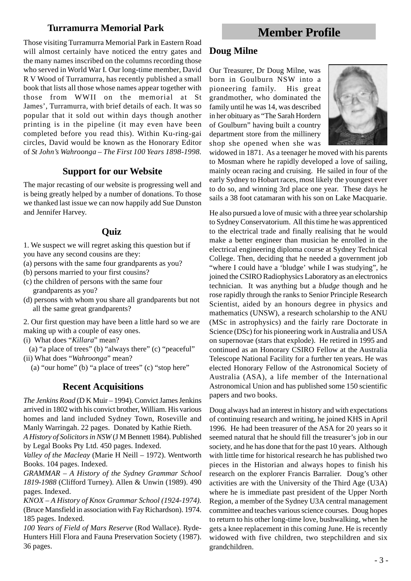#### **Turramurra Memorial Park**

**Member Profile**

Those visiting Turramurra Memorial Park in Eastern Road will almost certainly have noticed the entry gates and the many names inscribed on the columns recording those who served in World War I. Our long-time member, David R V Wood of Turramurra, has recently published a small book that lists all those whose names appear together with those from WWII on the memorial at St James', Turramurra, with brief details of each. It was so popular that it sold out within days though another printing is in the pipeline (it may even have been completed before you read this). Within Ku-ring-gai circles, David would be known as the Honorary Editor of *St John's Wahroonga – The First 100 Years 1898-1998.*

#### **Support for our Website**

The major recasting of our website is progressing well and is being greatly helped by a number of donations. To those we thanked last issue we can now happily add Sue Dunston and Jennifer Harvey.

#### **Quiz**

1. We suspect we will regret asking this question but if you have any second cousins are they:

- (a) persons with the same four grandparents as you?
- (b) persons married to your first cousins?
- (c) the children of persons with the same four grandparents as you?
- (d) persons with whom you share all grandparents but not all the same great grandparents?

2. Our first question may have been a little hard so we are making up with a couple of easy ones.

(i) What does "*Killara*" mean?

- (a) "a place of trees" (b) "always there" (c) "peaceful" (ii) What does "*Wahroonga*" mean?
	- (a) "our home" (b) "a place of trees" (c) "stop here"

#### **Recent Acquisitions**

*The Jenkins Road* (D K Muir – 1994). Convict James Jenkins arrived in 1802 with his convict brother, William. His various homes and land included Sydney Town, Roseville and Manly Warringah. 22 pages. Donated by Kathie Rieth.

*A History of Solicitors in NSW* (J M Bennett 1984). Published by Legal Books Pty Ltd. 450 pages. Indexed.

*Valley of the Macleay* (Marie H Neill – 1972). Wentworth Books. 104 pages. Indexed.

*GRAMMAR – A History of the Sydney Grammar School 1819-1988* (Clifford Turney). Allen & Unwin (1989). 490 pages. Indexed.

*KNOX – A History of Knox Grammar School (1924-1974).* (Bruce Mansfield in association with Fay Richardson). 1974. 185 pages. Indexed.

*100 Years of Field of Mars Reserve* (Rod Wallace). Ryde-Hunters Hill Flora and Fauna Preservation Society (1987). 36 pages.

#### **Doug Milne**

Our Treasurer, Dr Doug Milne, was born in Goulburn NSW into a pioneering family. His great grandmother, who dominated the family until he was 14, was described in her obituary as "The Sarah Hordern of Goulburn" having built a country department store from the millinery shop she opened when she was



widowed in 1871. As a teenager he moved with his parents to Mosman where he rapidly developed a love of sailing, mainly ocean racing and cruising. He sailed in four of the early Sydney to Hobart races, most likely the youngest ever to do so, and winning 3rd place one year. These days he sails a 38 foot catamaran with his son on Lake Macquarie.

He also pursued a love of music with a three year scholarship to Sydney Conservatorium. All this time he was apprenticed to the electrical trade and finally realising that he would make a better engineer than musician he enrolled in the electrical engineering diploma course at Sydney Technical College. Then, deciding that he needed a government job "where I could have a 'bludge' while I was studying", he joined the CSIRO Radiophysics Laboratory as an electronics technician. It was anything but a *bludge* though and he rose rapidly through the ranks to Senior Principle Research Scientist, aided by an honours degree in physics and mathematics (UNSW), a research scholarship to the ANU (MSc in astrophysics) and the fairly rare Doctorate in Science (DSc) for his pioneering work in Australia and USA on supernovae (stars that explode). He retired in 1995 and continued as an Honorary CSIRO Fellow at the Australia Telescope National Facility for a further ten years. He was elected Honorary Fellow of the Astronomical Society of Australia (ASA), a life member of the International Astronomical Union and has published some 150 scientific papers and two books.

Doug always had an interest in history and with expectations of continuing research and writing, he joined KHS in April 1996. He had been treasurer of the ASA for 20 years so it seemed natural that he should fill the treasurer's job in our society, and he has done that for the past 10 years. Although with little time for historical research he has published two pieces in the Historian and always hopes to finish his research on the explorer Francis Barralier. Doug's other activities are with the University of the Third Age (U3A) where he is immediate past president of the Upper North Region, a member of the Sydney U3A central management committee and teaches various science courses. Doug hopes to return to his other long-time love, bushwalking, when he gets a knee replacement in this coming June. He is recently widowed with five children, two stepchildren and six grandchildren.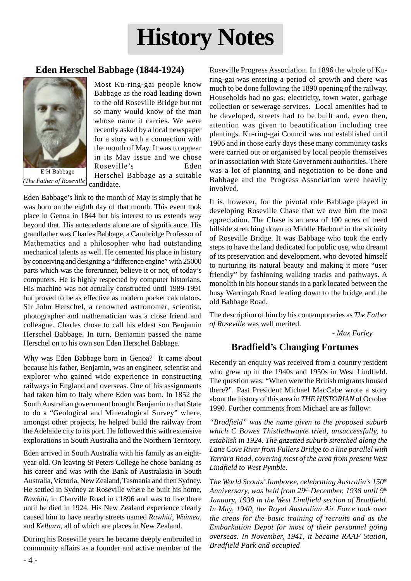# **History Notes**

#### **Eden Herschel Babbage (1844-1924)**



 candidate. E H Babbage *(The Father of Roseville*)

Most Ku-ring-gai people know Babbage as the road leading down to the old Roseville Bridge but not so many would know of the man whose name it carries. We were recently asked by a local newspaper for a story with a connection with the month of May. It was to appear in its May issue and we chose Roseville's Eden Herschel Babbage as a suitable

Eden Babbage's link to the month of May is simply that he was born on the eighth day of that month. This event took place in Genoa in 1844 but his interest to us extends way beyond that. His antecedents alone are of significance. His grandfather was Charles Babbage, a Cambridge Professor of Mathematics and a philosopher who had outstanding mechanical talents as well. He cemented his place in history by conceiving and designing a "difference engine" with 25000 parts which was the forerunner, believe it or not, of today's computers. He is highly respected by computer historians. His machine was not actually constructed until 1989-1991 but proved to be as effective as modern pocket calculators. Sir John Herschel, a renowned astronomer, scientist, photographer and mathematician was a close friend and colleague. Charles chose to call his eldest son Benjamin Herschel Babbage. In turn, Benjamin passed the name Herschel on to his own son Eden Herschel Babbage.

Why was Eden Babbage born in Genoa? It came about because his father, Benjamin, was an engineer, scientist and explorer who gained wide experience in constructing railways in England and overseas. One of his assignments had taken him to Italy where Eden was born. In 1852 the South Australian government brought Benjamin to that State to do a "Geological and Mineralogical Survey" where, amongst other projects, he helped build the railway from the Adelaide city to its port. He followed this with extensive explorations in South Australia and the Northern Territory.

Eden arrived in South Australia with his family as an eightyear-old. On leaving St Peters College he chose banking as his career and was with the Bank of Australasia in South Australia, Victoria, New Zealand, Tasmania and then Sydney. He settled in Sydney at Roseville where he built his home, *Rawhiti*, in Clanville Road in c1896 and was to live there until he died in 1924. His New Zealand experience clearly caused him to have nearby streets named *Rawhiti*, *Waimea*, and *Kelburn,* all of which are places in New Zealand.

During his Roseville years he became deeply embroiled in community affairs as a founder and active member of the

Roseville Progress Association. In 1896 the whole of Kuring-gai was entering a period of growth and there was much to be done following the 1890 opening of the railway. Households had no gas, electricity, town water, garbage collection or sewerage services. Local amenities had to be developed, streets had to be built and, even then, attention was given to beautification including tree plantings. Ku-ring-gai Council was not established until 1906 and in those early days these many community tasks were carried out or organised by local people themselves or in association with State Government authorities. There was a lot of planning and negotiation to be done and Babbage and the Progress Association were heavily involved.

It is, however, for the pivotal role Babbage played in developing Roseville Chase that we owe him the most appreciation. The Chase is an area of 100 acres of treed hillside stretching down to Middle Harbour in the vicinity of Roseville Bridge. It was Babbage who took the early steps to have the land dedicated for public use, who dreamt of its preservation and development, who devoted himself to nurturing its natural beauty and making it more "user friendly" by fashioning walking tracks and pathways. A monolith in his honour stands in a park located between the busy Warringah Road leading down to the bridge and the old Babbage Road.

The description of him by his contemporaries as *The Father of Roseville* was well merited.

 *- Max Farley*

#### **Bradfield's Changing Fortunes**

Recently an enquiry was received from a country resident who grew up in the 1940s and 1950s in West Lindfield. The question was: "When were the British migrants housed there?". Past President Michael MacCabe wrote a story about the history of this area in *THE HISTORIAN* of October 1990. Further comments from Michael are as follow:

*"Bradfield" was the name given to the proposed suburb which C Bowes Thistlethwayte tried, unsuccessfully, to establish in 1924. The gazetted suburb stretched along the Lane Cove River from Fullers Bridge to a line parallel with Yarrara Road, covering most of the area from present West Lindfield to West Pymble.*

*The World Scouts' Jamboree, celebrating Australia's 150th Anniversary, was held from 29th December, 1938 until 9th January, 1939 in the West Lindfield section of Bradfield. In May, 1940, the Royal Australian Air Force took over the areas for the basic training of recruits and as the Embarkation Depot for most of their personnel going overseas. In November, 1941, it became RAAF Station, Bradfield Park and occupied*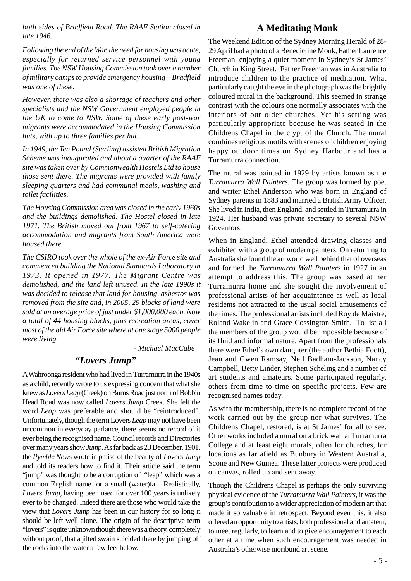*both sides of Bradfield Road. The RAAF Station closed in late 1946.*

#### **A Meditating Monk**

*Following the end of the War, the need for housing was acute, especially for returned service personnel with young families. The NSW Housing Commission took over a number of military camps to provide emergency housing – Bradfield was one of these.*

*However, there was also a shortage of teachers and other specialists and the NSW Government employed people in the UK to come to NSW. Some of these early post-war migrants were accommodated in the Housing Commission huts, with up to three families per hut.*

*In 1949, the Ten Pound (Sterling) assisted British Migration Scheme was inaugurated and about a quarter of the RAAF site was taken over by Commonwealth Hostels Ltd to house those sent there. The migrants were provided with family sleeping quarters and had communal meals, washing and toilet facilities.*

*The Housing Commission area was closed in the early 1960s and the buildings demolished. The Hostel closed in late 1971. The British moved out from 1967 to self-catering accommodation and migrants from South America were housed there.*

*The CSIRO took over the whole of the ex-Air Force site and commenced building the National Standards Laboratory in 1973. It opened in 1977. The Migrant Centre was demolished, and the land left unused. In the late 1990s it was decided to release that land for housing, asbestos was removed from the site and, in 2005, 29 blocks of land were sold at an average price of just under \$1,000,000 each. Now a total of 44 housing blocks, plus recreation areas, cover most of the old Air Force site where at one stage 5000 people were living.*

*- Michael MacCabe*

#### *"Lovers Jump"*

A Wahroonga resident who had lived in Turramurra in the 1940s as a child, recently wrote to us expressing concern that what she knew as *Lovers Leap* (Creek) on Burns Road just north of Bobbin Head Road was now called *Lovers Jump* Creek. She felt the word *Leap* was preferable and should be "reintroduced". Unfortunately, though the term Lovers *Leap* may not have been uncommon in everyday parlance, there seems no record of it ever being the recognised name. Council records and Directories over many years show *Jump*. As far back as 23 December, 1901, the *Pymble News* wrote in praise of the beauty of *Lovers Jump* and told its readers how to find it. Their article said the term "jump" was thought to be a corruption of "leap" which was a common English name for a small (water)fall. Realistically, *Lovers Jump*, having been used for over 100 years is unlikely ever to be changed. Indeed there are those who would take the view that *Lovers Jump* has been in our history for so long it should be left well alone. The origin of the descriptive term "lovers" is quite unknown though there was a theory, completely without proof, that a jilted swain suicided there by jumping off the rocks into the water a few feet below.

The Weekend Edition of the Sydney Morning Herald of 28- 29 April had a photo of a Benedictine Monk, Father Laurence Freeman, enjoying a quiet moment in Sydney's St James' Church in King Street. Father Freeman was in Australia to introduce children to the practice of meditation. What particularly caught the eye in the photograph was the brightly coloured mural in the background. This seemed in strange contrast with the colours one normally associates with the interiors of our older churches. Yet his setting was particularly appropriate because he was seated in the Childrens Chapel in the crypt of the Church. The mural combines religious motifs with scenes of children enjoying happy outdoor times on Sydney Harbour and has a Turramurra connection.

The mural was painted in 1929 by artists known as the *Turramurra Wall Painters*. The group was formed by poet and writer Ethel Anderson who was born in England of Sydney parents in 1883 and married a British Army Officer. She lived in India, then England, and settled in Turramurra in 1924. Her husband was private secretary to several NSW Governors.

When in England, Ethel attended drawing classes and exhibited with a group of modern painters. On returning to Australia she found the art world well behind that of overseas and formed the *Turramurra Wall Painters* in 1927 in an attempt to address this. The group was based at her Turramurra home and she sought the involvement of professional artists of her acquaintance as well as local residents not attracted to the usual social amusements of the times. The professional artists included Roy de Maistre, Roland Wakelin and Grace Cossington Smith. To list all the members of the group would be impossible because of its fluid and informal nature. Apart from the professionals there were Ethel's own daughter (the author Bethia Foott), Jean and Gwen Ramsay, Nell Badham-Jackson, Nancy Campbell, Betty Linder, Stephen Scheling and a number of art students and amateurs. Some participated regularly, others from time to time on specific projects. Few are recognised names today.

As with the membership, there is no complete record of the work carried out by the group nor what survives. The Childrens Chapel, restored, is at St James' for all to see. Other works included a mural on a brick wall at Turramurra College and at least eight murals, often for churches, for locations as far afield as Bunbury in Western Australia, Scone and New Guinea. These latter projects were produced on canvas, rolled up and sent away.

Though the Childrens Chapel is perhaps the only surviving physical evidence of the *Turramurra Wall Painters*, it was the group's contribution to a wider appreciation of modern art that made it so valuable in retrospect. Beyond even this, it also offered an opportunity to artists, both professional and amateur, to meet regularly, to learn and to give encouragement to each other at a time when such encouragement was needed in Australia's otherwise moribund art scene.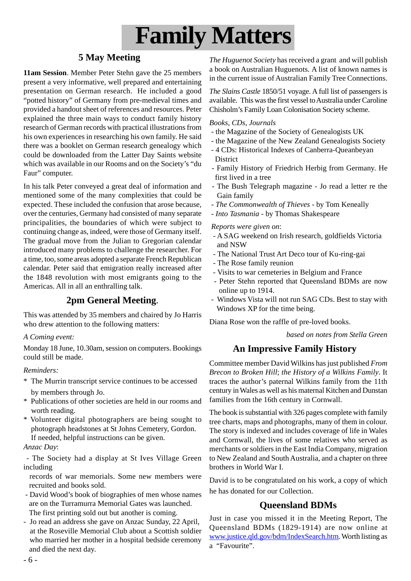

#### **5 May Meeting**

**11am Session**. Member Peter Stehn gave the 25 members present a very informative, well prepared and entertaining presentation on German research. He included a good "potted history" of Germany from pre-medieval times and provided a handout sheet of references and resources. Peter explained the three main ways to conduct family history research of German records with practical illustrations from his own experiences in researching his own family. He said there was a booklet on German research genealogy which could be downloaded from the Latter Day Saints website which was available in our Rooms and on the Society's "du Faur" computer.

In his talk Peter conveyed a great deal of information and mentioned some of the many complexities that could be expected. These included the confusion that arose because, over the centuries, Germany had consisted of many separate principalities, the boundaries of which were subject to continuing change as, indeed, were those of Germany itself. The gradual move from the Julian to Gregorian calendar introduced many problems to challenge the researcher. For a time, too, some areas adopted a separate French Republican calendar. Peter said that emigration really increased after the 1848 revolution with most emigrants going to the Americas. All in all an enthralling talk.

#### **2pm General Meeting**.

This was attended by 35 members and chaired by Jo Harris who drew attention to the following matters:

#### *A Coming event:*

Monday 18 June, 10.30am, session on computers. Bookings could still be made.

#### *Reminders:*

- \* The Murrin transcript service continues to be accessed by members through Jo.
- \* Publications of other societies are held in our rooms and worth reading.
- \* Volunteer digital photographers are being sought to photograph headstones at St Johns Cemetery, Gordon. If needed, helpful instructions can be given.
- *Anzac Day*:
- The Society had a display at St Ives Village Green including
- records of war memorials. Some new members were recruited and books sold.
- David Wood's book of biographies of men whose names are on the Turramurra Memorial Gates was launched. The first printing sold out but another is coming.
- Jo read an address she gave on Anzac Sunday, 22 April, at the Roseville Memorial Club about a Scottish soldier who married her mother in a hospital bedside ceremony and died the next day.

*The Huguenot Society* has received a grant and will publish a book on Australian Huguenots. A list of known names is in the current issue of Australian Family Tree Connections.

*The Slains Castle* 1850/51 voyage. A full list of passengers is available. This was the first vessel to Australia under Caroline Chisholm's Family Loan Colonisation Society scheme.

#### *Books, CDs, Journals*

- the Magazine of the Society of Genealogists UK
- the Magazine of the New Zealand Genealogists Society
- 4 CDs: Historical Indexes of Canberra-Queanbeyan District
- Family History of Friedrich Herbig from Germany. He first lived in a tree
- The Bush Telegraph magazine Jo read a letter re the Gain family
- *The Commonwealth of Thieves* by Tom Keneally
- *Into Tasmania* by Thomas Shakespeare

#### *Reports were given on*:

- A SAG weekend on Irish research, goldfields Victoria and NSW
- The National Trust Art Deco tour of Ku-ring-gai
- The Rose family reunion
- Visits to war cemeteries in Belgium and France
- Peter Stehn reported that Queensland BDMs are now online up to 1914.
- Windows Vista will not run SAG CDs. Best to stay with Windows XP for the time being.

Diana Rose won the raffle of pre-loved books.

*based on notes from Stella Green*

#### **An Impressive Family History**

Committee member David Wilkins has just published *From Brecon to Broken Hill*; *the History of a Wilkins Family*. It traces the author's paternal Wilkins family from the 11th century in Wales as well as his maternal Kitchen and Dunstan families from the 16th century in Cornwall.

The book is substantial with 326 pages complete with family tree charts, maps and photographs, many of them in colour. The story is indexed and includes coverage of life in Wales and Cornwall, the lives of some relatives who served as merchants or soldiers in the East India Company, migration to New Zealand and South Australia, and a chapter on three brothers in World War I.

David is to be congratulated on his work, a copy of which he has donated for our Collection.

#### **Queensland BDMs**

Just in case you missed it in the Meeting Report, The Queensland BDMs (1829-1914) are now online at www.justice.qld.gov/bdm/IndexSearch.htm. Worth listing as a "Favourite".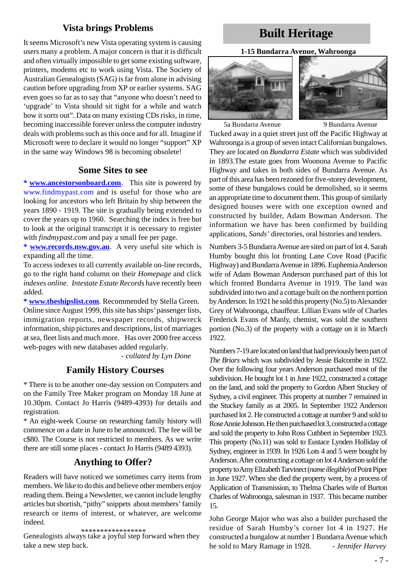#### **Vista brings Problems**

It seems Microsoft's new Vista operating system is causing users many a problem. A major concern is that it is difficult and often virtually impossible to get some existing software, printers, modems etc to work using Vista. The Society of Australian Genealogists (SAG) is far from alone in advising caution before upgrading from XP or earlier systems. SAG even goes so far as to say that "anyone who doesn't need to 'upgrade' to Vista should sit tight for a while and watch how it sorts out". Data on many existing CDs risks, in time, becoming inaccessible forever unless the computer industry deals with problems such as this once and for all. Imagine if Microsoft were to declare it would no longer "support" XP in the same way Windows 98 is becoming obsolete!

#### **Some Sites to see**

**\* www.ancestorsonboard.com**. This site is powered by www.findmypast.com and is useful for those who are looking for ancestors who left Britain by ship between the years 1890 - 1919. The site is gradually being extended to cover the years up to 1960. Searching the index is free but to look at the original transcript it is necessary to register with *findmypast.com* and pay a small fee per page.

**\* www.records.nsw.gov.au**. A very useful site which is expanding all the time.

To access indexes to all currently available on-line records, go to the right hand column on their *Homepage* and click *indexes online. Intestate Estate Records* have recently been added.

**\* www.theshipslist.com**. Recommended by Stella Green. Online since August 1999, this site has ships' passenger lists, immigration reports, newspaper records, shipwreck information, ship pictures and descriptions, list of marriages at sea, fleet lists and much more. Has over 2000 free access web-pages with new databases added regularly.

- *collated by Lyn Done*

#### **Family History Courses**

\* There is to be another one-day session on Computers and on the Family Tree Maker program on Monday 18 June at 10.30pm. Contact Jo Harris (9489-4393) for details and registration.

\* An eight-week Course on researching family history will commence on a date in June to be announced. The fee will be c\$80. The Course is not restricted to members. As we write there are still some places - contact Jo Harris (9489 4393).

#### **Anything to Offer?**

Readers will have noticed we sometimes carry items from members. We like to do this and believe other members enjoy reading them. Being a Newsletter, we cannot include lengthy articles but shortish, "pithy" snippets about members' family research or items of interest, or whatever, are welcome indeed.

\*\*\*\*\*\*\*\*\*\*\*\*\*\*\*\*\*

Genealogists always take a joyful step forward when they take a new step back.

## **Built Heritage**

#### **1-15 Bundarra Avenue, Wahroonga**



5a Bundarra Avenue 9 Bundarra Avenue



Tucked away in a quiet street just off the Pacific Highway at Wahroonga is a group of seven intact Californian bungalows. They are located on *Bundarra Estate* which was subdivided in 1893.The estate goes from Woonona Avenue to Pacific Highway and takes in both sides of Bundarra Avenue. As part of this area has been rezoned for five-storey development, some of these bungalows could be demolished, so it seems an appropriate time to document them. This group of similarly designed houses were with one exception owned and constructed by builder, Adam Bowman Anderson. The information we have has been confirmed by building applications, *Sands'* directories, oral histories and tenders.

Numbers 3-5 Bundarra Avenue are sited on part of lot 4. Sarah Humby bought this lot fronting Lane Cove Road (Pacific Highway) and Bundarra Avenue in 1896. Euphemia Anderson wife of Adam Bowman Anderson purchased part of this lot which fronted Bundarra Avenue in 1919. The land was subdivided into two and a cottage built on the northern portion by Anderson. In 1921 he sold this property (No.5) to Alexander Grey of Wahroonga, chauffeur. Lillian Evans wife of Charles Frederick Evans of Manly, chemist, was sold the southern portion (No.3) of the property with a cottage on it in March 1922.

Numbers 7-19 are located on land that had previously been part of *The Briars* which was subdivided by Jessie Balcombe in 1922. Over the following four years Anderson purchased most of the subdivision. He bought lot 1 in June 1922, constructed a cottage on the land, and sold the property to Gordon Albert Stuckey of Sydney, a civil engineer. This property at number 7 remained in the Stuckey family as at 2005. In September 1922 Anderson purchased lot 2. He constructed a cottage at number 9 and sold to Rose Annie Johnson. He then purchased lot 3, constructed a cottage and sold the property to John Ross Cuthbert in September 1923. This property (No.11) was sold to Eustace Lynden Holliday of Sydney, engineer in 1939. In 1926 Lots 4 and 5 were bought by Anderson. After constructing a cottage on lot 4 Anderson sold the property to Amy Elizabeth Tarvinect (*name illegible*) of Point Piper in June 1927. When she died the property went, by a process of Application of Transmission, to Thelma Charles wife of Burton Charles of Wahroonga, salesman in 1937. This became number 15.

John George Major who was also a builder purchased the residue of Sarah Humby's corner lot 4 in 1927. He constructed a bungalow at number 1 Bundarra Avenue which he sold to Mary Ramage in 1928. *- Jennifer Harvey*